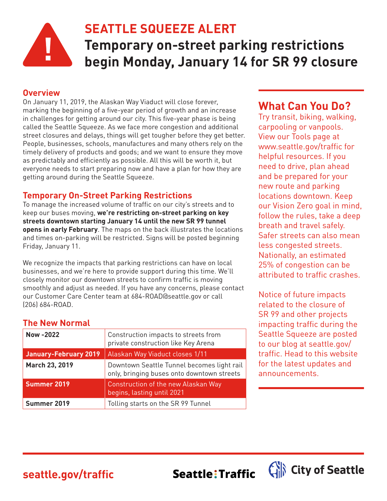

## **SEATTLE SQUEEZE ALERT**

**Temporary on-street parking restrictions begin Monday, January 14 for SR 99 closure**

Seattle: Traffic

#### **Overview**

On January 11, 2019, the Alaskan Way Viaduct will close forever, marking the beginning of a five-year period of growth and an increase in challenges for getting around our city. This five-year phase is being called the Seattle Squeeze. As we face more congestion and additional street closures and delays, things will get tougher before they get better. People, businesses, schools, manufactures and many others rely on the timely delivery of products and goods; and we want to ensure they move as predictably and efficiently as possible. All this will be worth it, but everyone needs to start preparing now and have a plan for how they are getting around during the Seattle Squeeze.

## **Temporary On-Street Parking Restrictions**

To manage the increased volume of traffic on our city's streets and to keep our buses moving, **we're restricting on-street parking on key streets downtown starting January 14 until the new SR 99 tunnel opens in early February**. The maps on the back illustrates the locations and times on-parking will be restricted. Signs will be posted beginning Friday, January 11.

We recognize the impacts that parking restrictions can have on local businesses, and we're here to provide support during this time. We'll closely monitor our downtown streets to confirm traffic is moving smoothly and adjust as needed. If you have any concerns, please contact our Customer Care Center team at 684-ROAD@seattle.gov or call (206) 684-ROAD.

## **The New Normal**

| Now -2022                    | Construction impacts to streets from<br>private construction like Key Arena              |
|------------------------------|------------------------------------------------------------------------------------------|
| <b>January-February 2019</b> | Alaskan Way Viaduct closes 1/11                                                          |
| March 23, 2019               | Downtown Seattle Tunnel becomes light rail<br>only, bringing buses onto downtown streets |
| Summer 2019                  | Construction of the new Alaskan Way<br>begins, lasting until 2021                        |
| Summer 2019                  | Tolling starts on the SR 99 Tunnel                                                       |

## **What Can You Do?**

Try transit, biking, walking, carpooling or vanpools. View our Tools page at www.seattle.gov/traffic for helpful resources. If you need to drive, plan ahead and be prepared for your new route and parking locations downtown. Keep our Vision Zero goal in mind, follow the rules, take a deep breath and travel safely. Safer streets can also mean less congested streets. Nationally, an estimated 25% of congestion can be attributed to traffic crashes.

Notice of future impacts related to the closure of SR 99 and other projects impacting traffic during the Seattle Squeeze are posted to our blog at seattle.gov/ traffic. Head to this website for the latest updates and announcements.

City of Seattle

# **seattle.gov/traffic**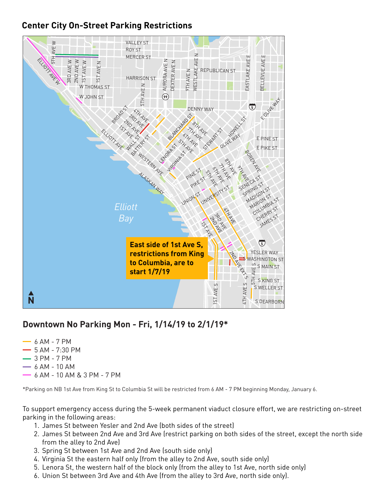## **Center City On-Street Parking Restrictions**



#### **Downtown No Parking Mon - Fri, 1/14/19 to 2/1/19\*** S ROYAL BROUGHAM WAY

- 6 AM 7 PM
- $-5$  AM 7:30 PM
- 3 PM 7 PM
- $-6$  AM  $-10$  AM
- 6 AM 10 AM & 3 PM 7 PM

\*Parking on NB 1st Ave from King St to Columbia St will be restricted from 6 AM - 7 PM beginning Monday, January 6.

To support emergency access during the 5-week permanent viaduct closure effort, we are restricting on-street parking in the following areas: ef

- 1. James St between Yesler and 2nd Ave (both sides of the street)
- 2. James St between 2nd Ave and 3rd Ave (restrict parking on both sides of the street, except the north side from the alley to 2nd Ave) si<br>h<br>f<br>f
- 3. Spring St between 1st Ave and 2nd Ave (south side only) 2<br>הכ
- 4. Virginia St the eastern half only (from the alley to 2nd Ave, south side only)
- 5. Lenora St, the western half of the block only (from the alley to 1st Ave, north side only)
- 6. Union St between 3rd Ave and 4th Ave (from the alley to 3rd Ave, north side only).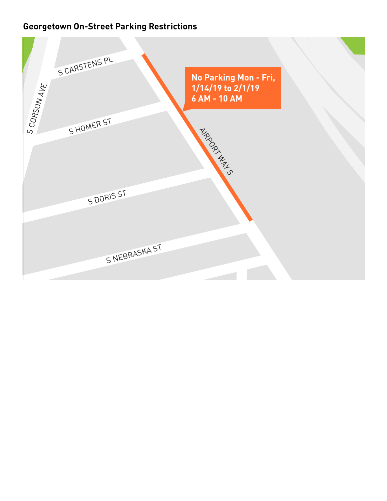## **Georgetown On-Street Parking Restrictions**